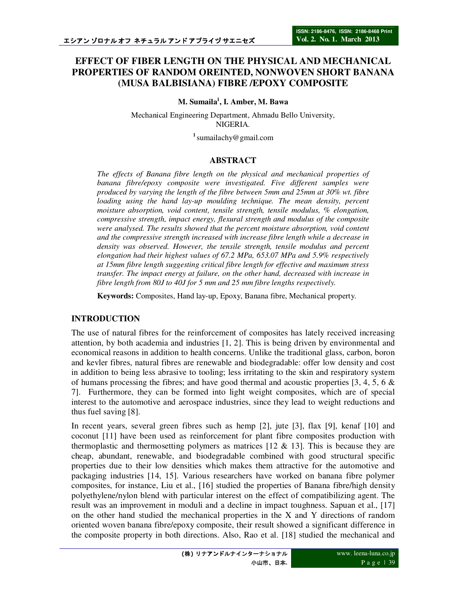# **EFFECT OF FIBER LENGTH ON THE PHYSICAL AND MECHANICAL PROPERTIES OF RANDOM OREINTED, NONWOVEN SHORT BANANA (MUSA BALBISIANA) FIBRE /EPOXY COMPOSITE**

**M. Sumaila<sup>1</sup> , I. Amber, M. Bawa**

Mechanical Engineering Department, Ahmadu Bello University, NIGERIA.

**<sup>1</sup>**sumailachy@gmail.com

#### **ABSTRACT**

*The effects of Banana fibre length on the physical and mechanical properties of banana fibre/epoxy composite were investigated. Five different samples were produced by varying the length of the fibre between 5mm and 25mm at 30% wt. fibre loading using the hand lay-up moulding technique. The mean density, percent moisture absorption, void content, tensile strength, tensile modulus, % elongation, compressive strength, impact energy, flexural strength and modulus of the composite were analysed. The results showed that the percent moisture absorption, void content and the compressive strength increased with increase fibre length while a decrease in density was observed. However, the tensile strength, tensile modulus and percent elongation had their highest values of 67.2 MPa, 653.07 MPa and 5.9% respectively at 15mm fibre length suggesting critical fibre length for effective and maximum stress transfer. The impact energy at failure, on the other hand, decreased with increase in fibre length from 80J to 40J for 5 mm and 25 mm fibre lengths respectively.* 

**Keywords:** Composites, Hand lay-up, Epoxy, Banana fibre, Mechanical property.

### **INTRODUCTION**

The use of natural fibres for the reinforcement of composites has lately received increasing attention, by both academia and industries [1, 2]. This is being driven by environmental and economical reasons in addition to health concerns. Unlike the traditional glass, carbon, boron and kevler fibres, natural fibres are renewable and biodegradable: offer low density and cost in addition to being less abrasive to tooling; less irritating to the skin and respiratory system of humans processing the fibres; and have good thermal and acoustic properties [3, 4, 5, 6  $\&$ 7]. Furthermore, they can be formed into light weight composites, which are of special interest to the automotive and aerospace industries, since they lead to weight reductions and thus fuel saving [8].

In recent years, several green fibres such as hemp [2], jute [3], flax [9], kenaf [10] and coconut [11] have been used as reinforcement for plant fibre composites production with thermoplastic and thermosetting polymers as matrices  $[12 \& 13]$ . This is because they are cheap, abundant, renewable, and biodegradable combined with good structural specific properties due to their low densities which makes them attractive for the automotive and packaging industries [14, 15]. Various researchers have worked on banana fibre polymer composites, for instance, Liu et al., [16] studied the properties of Banana fibre/high density polyethylene/nylon blend with particular interest on the effect of compatibilizing agent. The result was an improvement in moduli and a decline in impact toughness. Sapuan et al., [17] on the other hand studied the mechanical properties in the X and Y directions of random oriented woven banana fibre/epoxy composite, their result showed a significant difference in the composite property in both directions. Also, Rao et al. [18] studied the mechanical and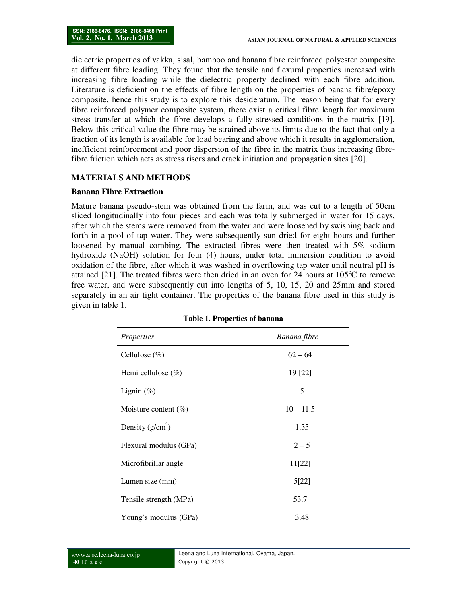dielectric properties of vakka, sisal, bamboo and banana fibre reinforced polyester composite at different fibre loading. They found that the tensile and flexural properties increased with increasing fibre loading while the dielectric property declined with each fibre addition. Literature is deficient on the effects of fibre length on the properties of banana fibre/epoxy composite, hence this study is to explore this desideratum. The reason being that for every fibre reinforced polymer composite system, there exist a critical fibre length for maximum stress transfer at which the fibre develops a fully stressed conditions in the matrix [19]. Below this critical value the fibre may be strained above its limits due to the fact that only a fraction of its length is available for load bearing and above which it results in agglomeration, inefficient reinforcement and poor dispersion of the fibre in the matrix thus increasing fibrefibre friction which acts as stress risers and crack initiation and propagation sites [20].

### **MATERIALS AND METHODS**

#### **Banana Fibre Extraction**

Mature banana pseudo-stem was obtained from the farm, and was cut to a length of 50cm sliced longitudinally into four pieces and each was totally submerged in water for 15 days, after which the stems were removed from the water and were loosened by swishing back and forth in a pool of tap water. They were subsequently sun dried for eight hours and further loosened by manual combing. The extracted fibres were then treated with 5% sodium hydroxide (NaOH) solution for four (4) hours, under total immersion condition to avoid oxidation of the fibre, after which it was washed in overflowing tap water until neutral pH is attained [21]. The treated fibres were then dried in an oven for 24 hours at  $105^{\circ}$ C to remove free water, and were subsequently cut into lengths of 5, 10, 15, 20 and 25mm and stored separately in an air tight container. The properties of the banana fibre used in this study is given in table 1.

| Properties              | Banana fibre |
|-------------------------|--------------|
| Cellulose $(\%)$        | $62 - 64$    |
| Hemi cellulose $(\%)$   | 19 [22]      |
| Lignin $(\%)$           | 5            |
| Moisture content $(\%)$ | $10 - 11.5$  |
| Density $(g/cm^3)$      | 1.35         |
| Flexural modulus (GPa)  | $2 - 5$      |
| Microfibrillar angle    | 11[22]       |
| Lumen size (mm)         | 5[22]        |
| Tensile strength (MPa)  | 53.7         |
| Young's modulus (GPa)   | 3.48         |

|  |  | Table 1. Properties of banana |  |  |
|--|--|-------------------------------|--|--|
|--|--|-------------------------------|--|--|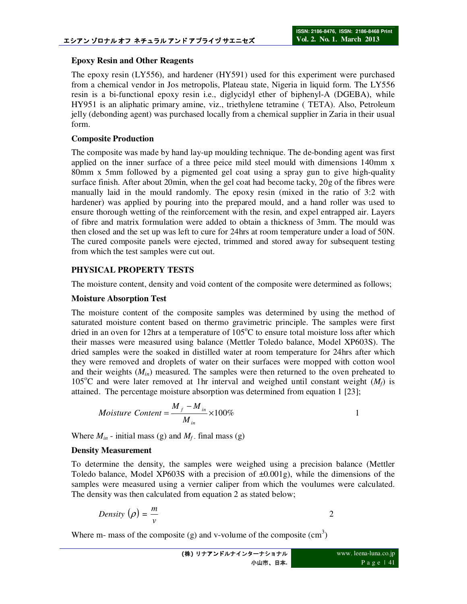## **Epoxy Resin and Other Reagents**

The epoxy resin (LY556), and hardener (HY591) used for this experiment were purchased from a chemical vendor in Jos metropolis, Plateau state, Nigeria in liquid form. The LY556 resin is a bi-functional epoxy resin i.e., diglycidyl ether of biphenyl-A (DGEBA), while HY951 is an aliphatic primary amine, viz., triethylene tetramine ( TETA). Also, Petroleum jelly (debonding agent) was purchased locally from a chemical supplier in Zaria in their usual form.

## **Composite Production**

The composite was made by hand lay-up moulding technique. The de-bonding agent was first applied on the inner surface of a three peice mild steel mould with dimensions 140mm x 80mm x 5mm followed by a pigmented gel coat using a spray gun to give high-quality surface finish. After about 20min, when the gel coat had become tacky, 20g of the fibres were manually laid in the mould randomly. The epoxy resin (mixed in the ratio of 3:2 with hardener) was applied by pouring into the prepared mould, and a hand roller was used to ensure thorough wetting of the reinforcement with the resin, and expel entrapped air. Layers of fibre and matrix formulation were added to obtain a thickness of 3mm. The mould was then closed and the set up was left to cure for 24hrs at room temperature under a load of 50N. The cured composite panels were ejected, trimmed and stored away for subsequent testing from which the test samples were cut out.

## **PHYSICAL PROPERTY TESTS**

The moisture content, density and void content of the composite were determined as follows;

## **Moisture Absorption Test**

The moisture content of the composite samples was determined by using the method of saturated moisture content based on thermo gravimetric principle. The samples were first dried in an oven for 12hrs at a temperature of  $105^{\circ}$ C to ensure total moisture loss after which their masses were measured using balance (Mettler Toledo balance, Model XP603S). The dried samples were the soaked in distilled water at room temperature for 24hrs after which they were removed and droplets of water on their surfaces were mopped with cotton wool and their weights  $(M_{in})$  measured. The samples were then returned to the oven preheated to 105<sup>o</sup>C and were later removed at 1hr interval and weighed until constant weight  $(M_f)$  is attained. The percentage moisture absorption was determined from equation 1 [23];

*Moisture Content* = 
$$
\frac{M_f - M_{in}}{M_{in}} \times 100\%
$$

Where  $M_{in}$  - initial mass (g) and  $M_f$  final mass (g)

## **Density Measurement**

To determine the density, the samples were weighed using a precision balance (Mettler Toledo balance, Model XP603S with a precision of  $\pm 0.001$ g), while the dimensions of the samples were measured using a vernier caliper from which the voulumes were calculated. The density was then calculated from equation 2 as stated below;

Density 
$$
(\rho) = \frac{m}{v}
$$
 2

Where m- mass of the composite (g) and v-volume of the composite  $(cm<sup>3</sup>)$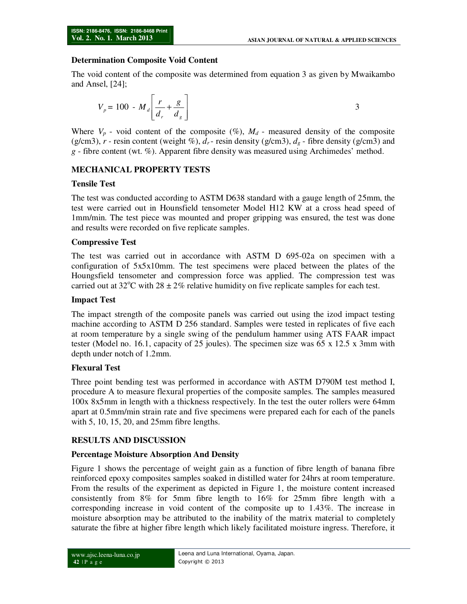## **Determination Composite Void Content**

The void content of the composite was determined from equation 3 as given by Mwaikambo and Ansel, [24];

$$
V_p = 100 - M_d \left[ \frac{r}{d_r} + \frac{g}{d_g} \right]
$$

Where  $V_p$  - void content of the composite (%),  $M_d$  - measured density of the composite (g/cm3),  $r$  - resin content (weight %),  $d_r$  - resin density (g/cm3),  $d_g$  - fibre density (g/cm3) and *g* - fibre content (wt. %). Apparent fibre density was measured using Archimedes' method.

## **MECHANICAL PROPERTY TESTS**

### **Tensile Test**

The test was conducted according to ASTM D638 standard with a gauge length of 25mm, the test were carried out in Hounsfield tensometer Model H12 KW at a cross head speed of 1mm/min. The test piece was mounted and proper gripping was ensured, the test was done and results were recorded on five replicate samples.

### **Compressive Test**

The test was carried out in accordance with ASTM D 695-02a on specimen with a configuration of 5x5x10mm. The test specimens were placed between the plates of the Houngsfield tensometer and compression force was applied. The compression test was carried out at 32<sup>o</sup>C with 28  $\pm$  2% relative humidity on five replicate samples for each test.

### **Impact Test**

The impact strength of the composite panels was carried out using the izod impact testing machine according to ASTM D 256 standard. Samples were tested in replicates of five each at room temperature by a single swing of the pendulum hammer using ATS FAAR impact tester (Model no. 16.1, capacity of 25 joules). The specimen size was 65 x 12.5 x 3mm with depth under notch of 1.2mm.

### **Flexural Test**

Three point bending test was performed in accordance with ASTM D790M test method I, procedure A to measure flexural properties of the composite samples. The samples measured 100x 8x5mm in length with a thickness respectively. In the test the outer rollers were 64mm apart at 0.5mm/min strain rate and five specimens were prepared each for each of the panels with 5, 10, 15, 20, and 25mm fibre lengths.

### **RESULTS AND DISCUSSION**

### **Percentage Moisture Absorption And Density**

Figure 1 shows the percentage of weight gain as a function of fibre length of banana fibre reinforced epoxy composites samples soaked in distilled water for 24hrs at room temperature. From the results of the experiment as depicted in Figure 1, the moisture content increased consistently from 8% for 5mm fibre length to 16% for 25mm fibre length with a corresponding increase in void content of the composite up to 1.43%. The increase in moisture absorption may be attributed to the inability of the matrix material to completely saturate the fibre at higher fibre length which likely facilitated moisture ingress. Therefore, it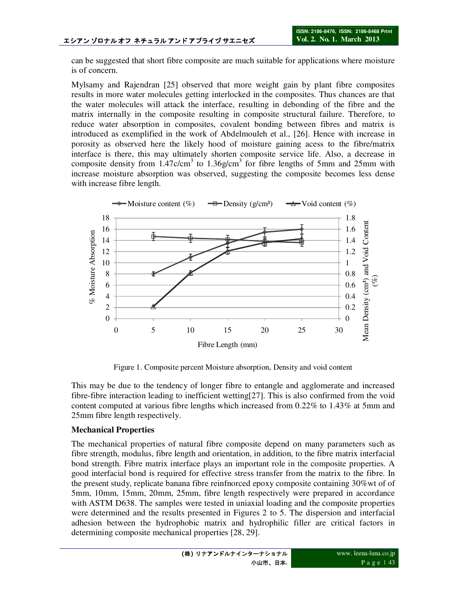can be suggested that short fibre composite are much suitable for applications where moisture is of concern.

Mylsamy and Rajendran [25] observed that more weight gain by plant fibre composites results in more water molecules getting interlocked in the composites. Thus chances are that the water molecules will attack the interface, resulting in debonding of the fibre and the matrix internally in the composite resulting in composite structural failure. Therefore, to reduce water absorption in composites, covalent bonding between fibres and matrix is introduced as exemplified in the work of Abdelmouleh et al., [26]. Hence with increase in porosity as observed here the likely hood of moisture gaining acess to the fibre/matrix interface is there, this may ultimately shorten composite service life. Also, a decrease in composite density from  $1.47c/cm<sup>3</sup>$  to  $1.36g/cm<sup>3</sup>$  for fibre lengths of 5mm and 25mm with increase moisture absorption was observed, suggesting the composite becomes less dense with increase fibre length.



Figure 1. Composite percent Moisture absorption, Density and void content

This may be due to the tendency of longer fibre to entangle and agglomerate and increased fibre-fibre interaction leading to inefficient wetting[27]. This is also confirmed from the void content computed at various fibre lengths which increased from 0.22% to 1.43% at 5mm and 25mm fibre length respectively.

## **Mechanical Properties**

The mechanical properties of natural fibre composite depend on many parameters such as fibre strength, modulus, fibre length and orientation, in addition, to the fibre matrix interfacial bond strength. Fibre matrix interface plays an important role in the composite properties. A good interfacial bond is required for effective stress transfer from the matrix to the fibre. In the present study, replicate banana fibre reinfnorced epoxy composite containing 30%wt of of 5mm, 10mm, 15mm, 20mm, 25mm, fibre length respectively were prepared in accordance with ASTM D638. The samples were tested in uniaxial loading and the composite properties were determined and the results presented in Figures 2 to 5. The dispersion and interfacial adhesion between the hydrophobic matrix and hydrophilic filler are critical factors in determining composite mechanical properties [28, 29].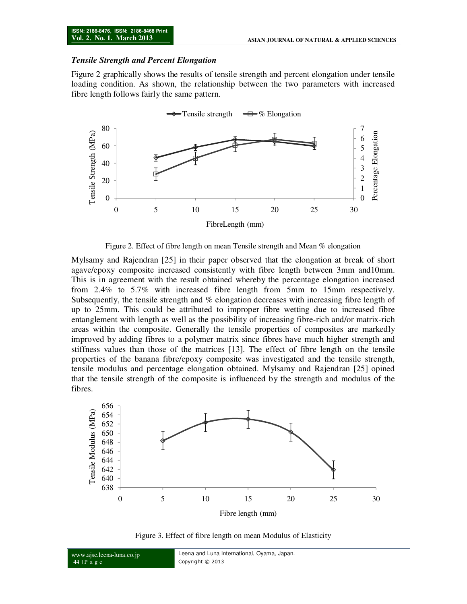#### *Tensile Strength and Percent Elongation*

Figure 2 graphically shows the results of tensile strength and percent elongation under tensile loading condition. As shown, the relationship between the two parameters with increased fibre length follows fairly the same pattern.



Figure 2. Effect of fibre length on mean Tensile strength and Mean % elongation

Mylsamy and Rajendran [25] in their paper observed that the elongation at break of short agave/epoxy composite increased consistently with fibre length between 3mm and10mm. This is in agreement with the result obtained whereby the percentage elongation increased from 2.4% to 5.7% with increased fibre length from 5mm to 15mm respectively. Subsequently, the tensile strength and % elongation decreases with increasing fibre length of up to 25mm. This could be attributed to improper fibre wetting due to increased fibre entanglement with length as well as the possibility of increasing fibre-rich and/or matrix-rich areas within the composite. Generally the tensile properties of composites are markedly improved by adding fibres to a polymer matrix since fibres have much higher strength and stiffness values than those of the matrices [13]. The effect of fibre length on the tensile properties of the banana fibre/epoxy composite was investigated and the tensile strength, tensile modulus and percentage elongation obtained. Mylsamy and Rajendran [25] opined that the tensile strength of the composite is influenced by the strength and modulus of the fibres.



Figure 3. Effect of fibre length on mean Modulus of Elasticity

www.ajsc.leena-luna.co.jp **44** | P a g e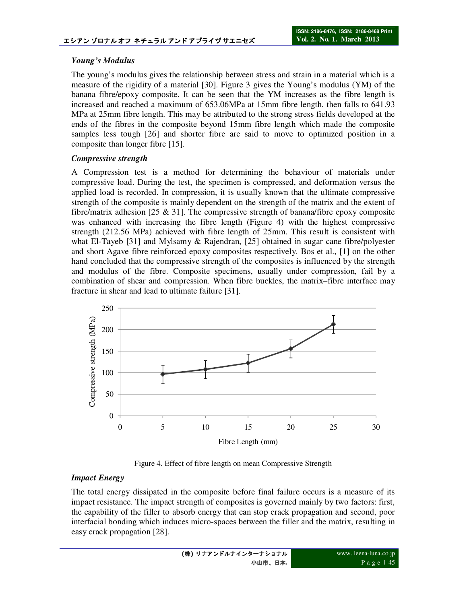## *Young's Modulus*

The young's modulus gives the relationship between stress and strain in a material which is a measure of the rigidity of a material [30]. Figure 3 gives the Young's modulus (YM) of the banana fibre/epoxy composite. It can be seen that the YM increases as the fibre length is increased and reached a maximum of 653.06MPa at 15mm fibre length, then falls to 641.93 MPa at 25mm fibre length. This may be attributed to the strong stress fields developed at the ends of the fibres in the composite beyond 15mm fibre length which made the composite samples less tough [26] and shorter fibre are said to move to optimized position in a composite than longer fibre [15].

## *Compressive strength*

A Compression test is a method for determining the behaviour of materials under compressive load. During the test, the specimen is compressed, and deformation versus the applied load is recorded. In compression, it is usually known that the ultimate compressive strength of the composite is mainly dependent on the strength of the matrix and the extent of fibre/matrix adhesion [25  $\&$  31]. The compressive strength of banana/fibre epoxy composite was enhanced with increasing the fibre length (Figure 4) with the highest compressive strength (212.56 MPa) achieved with fibre length of 25mm. This result is consistent with what El-Tayeb [31] and Mylsamy & Rajendran, [25] obtained in sugar cane fibre/polyester and short Agave fibre reinforced epoxy composites respectively. Bos et al., [1] on the other hand concluded that the compressive strength of the composites is influenced by the strength and modulus of the fibre. Composite specimens, usually under compression, fail by a combination of shear and compression. When fibre buckles, the matrix–fibre interface may fracture in shear and lead to ultimate failure [31].



Figure 4. Effect of fibre length on mean Compressive Strength

## *Impact Energy*

The total energy dissipated in the composite before final failure occurs is a measure of its impact resistance. The impact strength of composites is governed mainly by two factors: first, the capability of the filler to absorb energy that can stop crack propagation and second, poor interfacial bonding which induces micro-spaces between the filler and the matrix, resulting in easy crack propagation [28].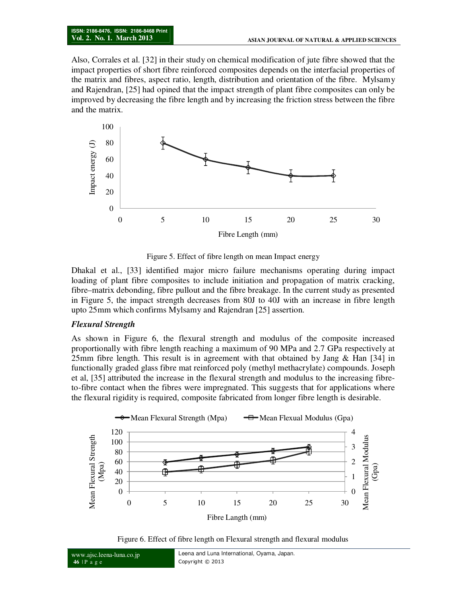Also, Corrales et al. [32] in their study on chemical modification of jute fibre showed that the impact properties of short fibre reinforced composites depends on the interfacial properties of the matrix and fibres, aspect ratio, length, distribution and orientation of the fibre. Mylsamy and Rajendran, [25] had opined that the impact strength of plant fibre composites can only be improved by decreasing the fibre length and by increasing the friction stress between the fibre and the matrix.



Figure 5. Effect of fibre length on mean Impact energy

Dhakal et al., [33] identified major micro failure mechanisms operating during impact loading of plant fibre composites to include initiation and propagation of matrix cracking, fibre–matrix debonding, fibre pullout and the fibre breakage. In the current study as presented in Figure 5, the impact strength decreases from 80J to 40J with an increase in fibre length upto 25mm which confirms Mylsamy and Rajendran [25] assertion.

### *Flexural Strength*

As shown in Figure 6, the flexural strength and modulus of the composite increased proportionally with fibre length reaching a maximum of 90 MPa and 2.7 GPa respectively at 25mm fibre length. This result is in agreement with that obtained by Jang & Han [34] in functionally graded glass fibre mat reinforced poly (methyl methacrylate) compounds. Joseph et al, [35] attributed the increase in the flexural strength and modulus to the increasing fibreto-fibre contact when the fibres were impregnated. This suggests that for applications where the flexural rigidity is required, composite fabricated from longer fibre length is desirable.



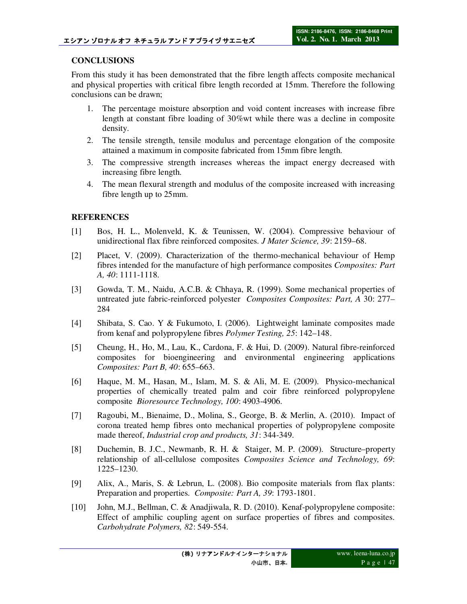## **CONCLUSIONS**

From this study it has been demonstrated that the fibre length affects composite mechanical and physical properties with critical fibre length recorded at 15mm. Therefore the following conclusions can be drawn;

- 1. The percentage moisture absorption and void content increases with increase fibre length at constant fibre loading of 30%wt while there was a decline in composite density.
- 2. The tensile strength, tensile modulus and percentage elongation of the composite attained a maximum in composite fabricated from 15mm fibre length.
- 3. The compressive strength increases whereas the impact energy decreased with increasing fibre length.
- 4. The mean flexural strength and modulus of the composite increased with increasing fibre length up to 25mm.

## **REFERENCES**

- [1] Bos, H. L., Molenveld, K. & Teunissen, W. (2004). Compressive behaviour of unidirectional flax fibre reinforced composites. *J Mater Science, 39*: 2159–68.
- [2] Placet, V. (2009). Characterization of the thermo-mechanical behaviour of Hemp fibres intended for the manufacture of high performance composites *Composites: Part A, 40*: 1111-1118.
- [3] Gowda, T. M., Naidu, A.C.B. & Chhaya, R. (1999). Some mechanical properties of untreated jute fabric-reinforced polyester *Composites Composites: Part, A* 30: 277– 284
- [4] Shibata, S. Cao. Y & Fukumoto, I. (2006). Lightweight laminate composites made from kenaf and polypropylene fibres *Polymer Testing, 25*: 142–148.
- [5] Cheung, H., Ho, M., Lau, K., Cardona, F. & Hui, D. (2009). Natural fibre-reinforced composites for bioengineering and environmental engineering applications *Composites: Part B, 40*: 655–663.
- [6] Haque, M. M., Hasan, M., Islam, M. S. & Ali, M. E. (2009). Physico-mechanical properties of chemically treated palm and coir fibre reinforced polypropylene composite *Bioresource Technology, 100*: 4903-4906.
- [7] Ragoubi, M., Bienaime, D., Molina, S., George, B. & Merlin, A. (2010). Impact of corona treated hemp fibres onto mechanical properties of polypropylene composite made thereof, *Industrial crop and products, 31*: 344-349.
- [8] Duchemin, B. J.C., Newmanb, R. H. & Staiger, M. P. (2009). Structure–property relationship of all-cellulose composites *Composites Science and Technology, 69*: 1225–1230.
- [9] Alix, A., Maris, S. & Lebrun, L. (2008). Bio composite materials from flax plants: Preparation and properties. *Composite: Part A, 39*: 1793-1801.
- [10] John, M.J., Bellman, C. & Anadjiwala, R. D. (2010). Kenaf-polypropylene composite: Effect of amphilic coupling agent on surface properties of fibres and composites. *Carbohydrate Polymers, 82*: 549-554.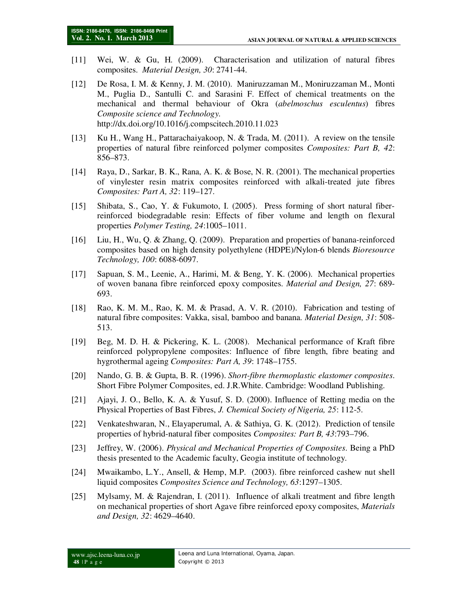- [11] Wei, W. & Gu, H. (2009). Characterisation and utilization of natural fibres composites. *Material Design, 30*: 2741-44.
- [12] De Rosa, I. M. & Kenny, J. M. (2010). Maniruzzaman M., Moniruzzaman M., Monti M., Puglia D., Santulli C. and Sarasini F. Effect of chemical treatments on the mechanical and thermal behaviour of Okra (*abelmoschus esculentus*) fibres *Composite science and Technology.* http://dx.doi.org/10.1016/j.compscitech.2010.11.023
- [13] Ku H., Wang H., Pattarachaiyakoop, N. & Trada, M. (2011). A review on the tensile properties of natural fibre reinforced polymer composites *Composites: Part B, 42*: 856–873.
- [14] Raya, D., Sarkar, B. K., Rana, A. K. & Bose, N. R. (2001). The mechanical properties of vinylester resin matrix composites reinforced with alkali-treated jute fibres *Composites: Part A, 32*: 119–127.
- [15] Shibata, S., Cao, Y. & Fukumoto, I. (2005). Press forming of short natural fiberreinforced biodegradable resin: Effects of fiber volume and length on flexural properties *Polymer Testing, 24*:1005–1011.
- [16] Liu, H., Wu, Q. & Zhang, Q. (2009). Preparation and properties of banana-reinforced composites based on high density polyethylene (HDPE)/Nylon-6 blends *Bioresource Technology, 100*: 6088-6097.
- [17] Sapuan, S. M., Leenie, A., Harimi, M. & Beng, Y. K. (2006). Mechanical properties of woven banana fibre reinforced epoxy composites. *Material and Design, 27*: 689- 693.
- [18] Rao, K. M. M., Rao, K. M. & Prasad, A. V. R. (2010). Fabrication and testing of natural fibre composites: Vakka, sisal, bamboo and banana. *Material Design, 31*: 508- 513.
- [19] Beg, M. D. H. & Pickering, K. L. (2008). Mechanical performance of Kraft fibre reinforced polypropylene composites: Influence of fibre length, fibre beating and hygrothermal ageing *Composites: Part A, 39*: 1748–1755.
- [20] Nando, G. B. & Gupta, B. R. (1996). *Short-fibre thermoplastic elastomer composites*. Short Fibre Polymer Composites, ed. J.R.White. Cambridge: Woodland Publishing.
- [21] Ajayi, J. O., Bello, K. A. & Yusuf, S. D. (2000). Influence of Retting media on the Physical Properties of Bast Fibres, *J. Chemical Society of Nigeria, 25*: 112-5.
- [22] Venkateshwaran, N., Elayaperumal, A. & Sathiya, G. K. (2012). Prediction of tensile properties of hybrid-natural fiber composites *Composites: Part B, 43*:793–796.
- [23] Jeffrey, W. (2006). *Physical and Mechanical Properties of Composites*. Being a PhD thesis presented to the Academic faculty, Geogia institute of technology.
- [24] Mwaikambo, L.Y., Ansell, & Hemp, M.P. (2003). fibre reinforced cashew nut shell liquid composites *Composites Science and Technology, 63*:1297–1305.
- [25] Mylsamy, M. & Rajendran, I. (2011). Influence of alkali treatment and fibre length on mechanical properties of short Agave fibre reinforced epoxy composites, *Materials and Design, 32*: 4629–4640.